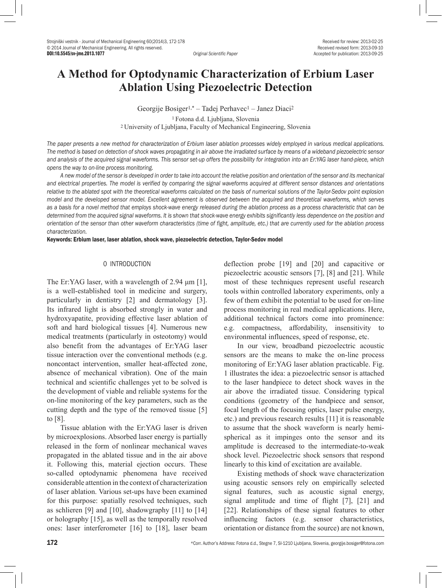Accepted for publication: 2013-09-25

# **A Method for Optodynamic Characterization of Erbium Laser Ablation Using Piezoelectric Detection**

Georgije Bosiger1,\* – Tadej Perhavec1 – Janez Diaci<sup>2</sup> 1 Fotona d.d. Ljubljana, Slovenia <sup>2</sup>University of Ljubljana, Faculty of Mechanical Engineering, Slovenia

*The paper presents a new method for characterization of Erbium laser ablation processes widely employed in various medical applications. The method is based on detection of shock waves propagating in air above the irradiated surface by means of a wideband piezoelectric sensor and analysis of the acquired signal waveforms. This sensor set-up offers the possibility for integration into an Er:YAG laser hand-piece, which opens the way to on-line process monitoring.*

*A new model of the sensor is developed in order to take into account the relative position and orientation of the sensor and its mechanical and electrical properties. The model is verified by comparing the signal waveforms acquired at different sensor distances and orientations*  relative to the ablated spot with the theoretical waveforms calculated on the basis of numerical solutions of the Taylor-Sedov point explosion *model and the developed sensor model. Excellent agreement is observed between the acquired and theoretical waveforms, which serves as a basis for a novel method that employs shock-wave energy released during the ablation process as a process characteristic that can be determined from the acquired signal waveforms. It is shown that shock-wave energy exhibits significantly less dependence on the position and orientation of the sensor than other waveform characteristics (time of fight, amplitude, etc.) that are currently used for the ablation process characterization.* 

Keywords: Erbium laser, laser ablation, shock wave, piezoelectric detection, Taylor-Sedov model

#### 0 INTRODUCTION

The Er:YAG laser, with a wavelength of 2.94 μm [1], is a well-established tool in medicine and surgery, particularly in dentistry [2] and dermatology [3]. Its infrared light is absorbed strongly in water and hydroxyapatite, providing effective laser ablation of soft and hard biological tissues [4]. Numerous new medical treatments (particularly in osteotomy) would also benefit from the advantages of Er:YAG laser tissue interaction over the conventional methods (e.g. noncontact intervention, smaller heat-affected zone, absence of mechanical vibration). One of the main technical and scientific challenges yet to be solved is the development of viable and reliable systems for the on-line monitoring of the key parameters, such as the cutting depth and the type of the removed tissue [5] to [8].

Tissue ablation with the Er:YAG laser is driven by microexplosions. Absorbed laser energy is partially released in the form of nonlinear mechanical waves propagated in the ablated tissue and in the air above it. Following this, material ejection occurs. These so-called optodynamic phenomena have received considerable attention in the context of characterization of laser ablation. Various set-ups have been examined for this purpose: spatially resolved techniques, such as schlieren [9] and [10], shadowgraphy [11] to [14] or holography [15], as well as the temporally resolved ones: laser interferometer [16] to [18], laser beam deflection probe [19] and [20] and capacitive or piezoelectric acoustic sensors [7], [8] and [21]. While most of these techniques represent useful research tools within controlled laboratory experiments, only a few of them exhibit the potential to be used for on-line process monitoring in real medical applications. Here, additional technical factors come into prominence: e.g. compactness, affordability, insensitivity to environmental influences, speed of response, etc.

In our view, broadband piezoelectric acoustic sensors are the means to make the on-line process monitoring of Er:YAG laser ablation practicable. Fig. 1 illustrates the idea: a piezoelectric sensor is attached to the laser handpiece to detect shock waves in the air above the irradiated tissue. Considering typical conditions (geometry of the handpiece and sensor, focal length of the focusing optics, laser pulse energy, etc.) and previous research results [11] it is reasonable to assume that the shock waveform is nearly hemispherical as it impinges onto the sensor and its amplitude is decreased to the intermediate-to-weak shock level. Piezoelectric shock sensors that respond linearly to this kind of excitation are available.

Existing methods of shock wave characterization using acoustic sensors rely on empirically selected signal features, such as acoustic signal energy, signal amplitude and time of flight [7], [21] and [22]. Relationships of these signal features to other influencing factors (e.g. sensor characteristics, orientation or distance from the source) are not known,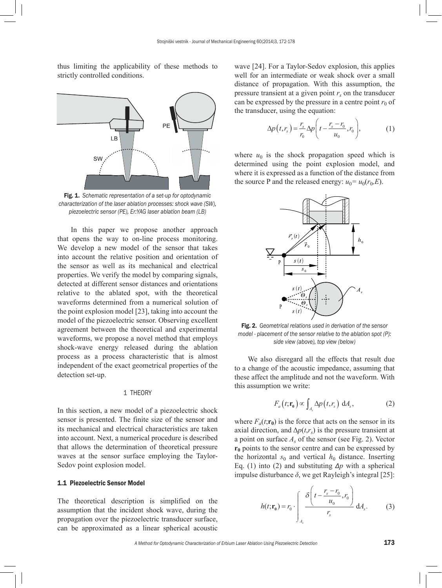thus limiting the applicability of these methods to strictly controlled conditions.



Fig. 1. *Schematic representation of a set-up for optodynamic characterization of the laser ablation processes: shock wave (SW), piezoelectric sensor (PE), Er:YAG laser ablation beam (LB)*

In this paper we propose another approach that opens the way to on-line process monitoring. We develop a new model of the sensor that takes into account the relative position and orientation of the sensor as well as its mechanical and electrical properties. We verify the model by comparing signals, detected at different sensor distances and orientations relative to the ablated spot, with the theoretical waveforms determined from a numerical solution of the point explosion model [23], taking into account the model of the piezoelectric sensor. Observing excellent agreement between the theoretical and experimental waveforms, we propose a novel method that employs shock-wave energy released during the ablation process as a process characteristic that is almost independent of the exact geometrical properties of the detection set-up.

#### 1 THEORY

In this section, a new model of a piezoelectric shock sensor is presented. The finite size of the sensor and its mechanical and electrical characteristics are taken into account. Next, a numerical procedure is described that allows the determination of theoretical pressure waves at the sensor surface employing the Taylor-Sedov point explosion model.

## 1.1 Piezoelectric Sensor Model

The theoretical description is simplified on the assumption that the incident shock wave, during the propagation over the piezoelectric transducer surface, can be approximated as a linear spherical acoustic

wave [24]. For a Taylor-Sedov explosion, this applies well for an intermediate or weak shock over a small distance of propagation. With this assumption, the pressure transient at a given point  $r<sub>s</sub>$  on the transducer can be expressed by the pressure in a centre point  $r_0$  of the transducer, using the equation:

$$
\Delta p(t, r_s) = \frac{r_s}{r_0} \Delta p \left( t - \frac{r_s - r_0}{u_0}, r_0 \right),\tag{1}
$$

where  $u_0$  is the shock propagation speed which is determined using the point explosion model, and where it is expressed as a function of the distance from the source P and the released energy:  $u_0 = u_0(r_0, E)$ .



Fig. 2. *Geometrical relations used in derivation of the sensor model - placement of the sensor relative to the ablation spot (P): side view (above), top view (below)*

We also disregard all the effects that result due to a change of the acoustic impedance, assuming that these affect the amplitude and not the waveform. With this assumption we write:

$$
F_a(t; \mathbf{r}_0) \propto \int_{A_s} \Delta p(t, r_s) \, \mathrm{d}A_s, \tag{2}
$$

where  $F_a(t; \mathbf{r_0})$  is the force that acts on the sensor in its axial direction, and  $\Delta p(t,r_s)$  is the pressure transient at a point on surface *As* of the sensor (see Fig. 2). Vector **r<sub>0</sub>** points to the sensor centre and can be expressed by the horizontal  $s_0$  and vertical  $h_0$  distance. Inserting Eq. (1) into (2) and substituting *Δp* with a spherical impulse disturbance  $\delta$ , we get Rayleigh's integral [25]:

$$
h(t; \mathbf{r}_0) = r_0 \cdot \int_{A_s} \frac{\delta \left( t - \frac{r_s - r_0}{u_0}, r_0 \right)}{r_s} dA_s.
$$
 (3)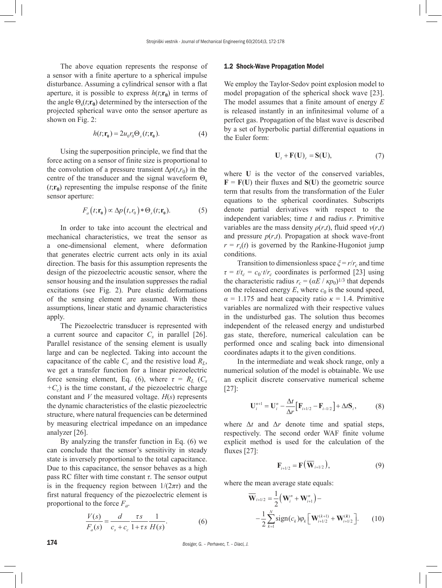The above equation represents the response of a sensor with a finite aperture to a spherical impulse disturbance. Assuming a cylindrical sensor with a flat aperture, it is possible to express  $h(t; \mathbf{r}_0)$  in terms of the angle  $\Theta_s(t; \mathbf{r}_0)$  determined by the intersection of the projected spherical wave onto the sensor aperture as shown on Fig. 2:

$$
h(t; \mathbf{r}_0) = 2u_0 r_0 \Theta_s(t; \mathbf{r}_0). \tag{4}
$$

Using the superposition principle, we find that the force acting on a sensor of finite size is proportional to the convolution of a pressure transient  $\Delta p(t,r_0)$  in the centre of the transducer and the signal waveform  $\Theta_s$  $(t;\mathbf{r}_0)$  representing the impulse response of the finite sensor aperture:

$$
F_a(t; \mathbf{r}_0) \propto \Delta p(t, r_0) * \Theta_s(t; \mathbf{r}_0). \tag{5}
$$

In order to take into account the electrical and mechanical characteristics, we treat the sensor as a one-dimensional element, where deformation that generates electric current acts only in its axial direction. The basis for this assumption represents the design of the piezoelectric acoustic sensor, where the sensor housing and the insulation suppresses the radial excitations (see Fig. 2). Pure elastic deformations of the sensing element are assumed. With these assumptions, linear static and dynamic characteristics apply.

The Piezoelectric transducer is represented with a current source and capacitor  $C_s$  in parallel [26]. Parallel resistance of the sensing element is usually large and can be neglected. Taking into account the capacitance of the cable  $C_c$  and the resistive load  $R_L$ , we get a transfer function for a linear piezoelectric force sensing element, Eq. (6), where  $\tau = R_L$  ( $C_s$  $+C_c$ ) is the time constant, *d* the piezoelectric charge constant and *V* the measured voltage. *H*(*s*) represents the dynamic characteristics of the elastic piezoelectric structure, where natural frequencies can be determined by measuring electrical impedance on an impedance analyzer [26].

By analyzing the transfer function in Eq. (6) we can conclude that the sensor's sensitivity in steady state is inversely proportional to the total capacitance. Due to this capacitance, the sensor behaves as a high pass RC filter with time constant *τ*. The sensor output is in the frequency region between  $1/(2\pi\tau)$  and the first natural frequency of the piezoelectric element is proportional to the force *Fa*.

$$
\frac{V(s)}{F_a(s)} = \frac{d}{c_s + c_c} \frac{\tau s}{1 + \tau s} \frac{1}{H(s)}.
$$
(6)

#### 1.2 Shock-Wave Propagation Model

We employ the Taylor-Sedov point explosion model to model propagation of the spherical shock wave [23]. The model assumes that a finite amount of energy *E* is released instantly in an infinitesimal volume of a perfect gas. Propagation of the blast wave is described by a set of hyperbolic partial differential equations in the Euler form:

$$
\mathbf{U}_t + \mathbf{F}(\mathbf{U})_r = \mathbf{S}(\mathbf{U}),\tag{7}
$$

where **U** is the vector of the conserved variables,  **their fluxes and**  $**S**(**U**)$  **the geometric source** term that results from the transformation of the Euler equations to the spherical coordinates. Subscripts denote partial derivatives with respect to the independent variables; time *t* and radius *r*. Primitive variables are the mass density  $\rho(r,t)$ , fluid speed  $v(r,t)$ and pressure  $p(r,t)$ . Propagation at shock wave-front  $r = r<sub>s</sub>(t)$  is governed by the Rankine-Hugoniot jump conditions.

Transition to dimensionless space  $\zeta = r/r_c$  and time  $\tau = t/t_c = c_0 \cdot t/r_c$  coordinates is performed [23] using the characteristic radius  $r_c = (\alpha E / k p_0)^{1/3}$  that depends on the released energy  $E$ , where  $c_0$  is the sound speed,  $\alpha = 1.175$  and heat capacity ratio  $\kappa = 1.4$ . Primitive variables are normalized with their respective values in the undisturbed gas. The solution thus becomes independent of the released energy and undisturbed gas state, therefore, numerical calculation can be performed once and scaling back into dimensional coordinates adapts it to the given conditions.

In the intermediate and weak shock range, only a numerical solution of the model is obtainable. We use an explicit discrete conservative numerical scheme [27]:

$$
\mathbf{U}_{i}^{n+1} = \mathbf{U}_{i}^{n} - \frac{\Delta t}{\Delta r} \Big[ \mathbf{F}_{i+1/2} - \mathbf{F}_{i-1/2} \Big] + \Delta t \mathbf{S}_{i},
$$
 (8)

where  $\Delta t$  and  $\Delta r$  denote time and spatial steps, respectively. The second order WAF finite volume explicit method is used for the calculation of the fluxes [27]:

$$
\mathbf{F}_{i+1/2} = \mathbf{F}(\overline{\mathbf{W}}_{i+1/2}),\tag{9}
$$

where the mean average state equals:

$$
\overline{\mathbf{W}}_{i+1/2} = \frac{1}{2} (\mathbf{W}_{i}^{n} + \mathbf{W}_{i+1}^{n}) -
$$
  
 
$$
- \frac{1}{2} \sum_{k=1}^{N} sign(c_{k}) \varphi_{k} \left[ \mathbf{W}_{i+1/2}^{(k+1)} + \mathbf{W}_{i+1/2}^{(k)} \right].
$$
 (10)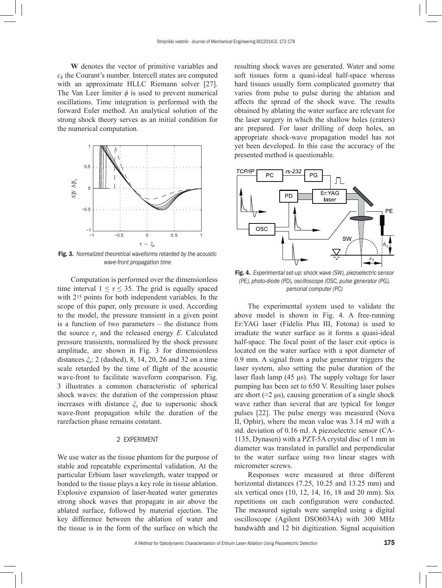**W** denotes the vector of primitive variables and  $c_k$  the Courant's number. Intercell states are computed with an approximate HLLC Riemann solver [27]. The Van Leer limiter  $\phi$  is used to prevent numerical oscillations. Time integration is performed with the forward Euler method. An analytical solution of the strong shock theory serves as an initial condition for the numerical computation.



Fig. 3. *Normalized theoretical waveforms retarded by the acoustic wave-front propagation time*

Computation is performed over the dimensionless time interval  $1 \leq \tau \leq 35$ . The grid is equally spaced with 215 points for both independent variables. In the scope of this paper, only pressure is used. According to the model, the pressure transient in a given point is a function of two parameters – the distance from the source  $r_s$  and the released energy  $E$ . Calculated pressure transients, normalized by the shock pressure amplitude, are shown in Fig. 3 for dimensionless distances *ξs*: 2 (dashed), 8, 14, 20, 26 and 32 on a time scale retarded by the time of flight of the acoustic wave-front to facilitate waveform comparison. Fig. 3 illustrates a common characteristic of spherical shock waves: the duration of the compression phase increases with distance *ξs* due to supersonic shock wave-front propagation while the duration of the rarefaction phase remains constant.

#### 2 EXPERIMENT

We use water as the tissue phantom for the purpose of stable and repeatable experimental validation. At the particular Erbium laser wavelength, water trapped or bonded to the tissue plays a key role in tissue ablation. Explosive expansion of laser-heated water generates strong shock waves that propagate in air above the ablated surface, followed by material ejection. The key difference between the ablation of water and the tissue is in the form of the surface on which the

resulting shock waves are generated. Water and some soft tissues form a quasi-ideal half-space whereas hard tissues usually form complicated geometry that varies from pulse to pulse during the ablation and affects the spread of the shock wave. The results obtained by ablating the water surface are relevant for the laser surgery in which the shallow holes (craters) are prepared. For laser drilling of deep holes, an appropriate shock-wave propagation model has not yet been developed. In this case the accuracy of the presented method is questionable.



Fig. 4. *Experimental set-up: shock wave (SW), piezoelectric sensor (PE), photo-diode (PD), oscilloscope (OSC, pulse generator (PG), personal computer (PC)*

The experimental system used to validate the above model is shown in Fig. 4. A free-running Er:YAG laser (Fidelis Plus III, Fotona) is used to irradiate the water surface as it forms a quasi-ideal half-space. The focal point of the laser exit optics is located on the water surface with a spot diameter of 0.9 mm. A signal from a pulse generator triggers the laser system, also setting the pulse duration of the laser flash lamp (45 μs). The supply voltage for laser pumping has been set to 650 V. Resulting laser pulses are short ( $\approx$ 2 μs), causing generation of a single shock wave rather than several that are typical for longer pulses [22]. The pulse energy was measured (Nova II, Ophir), where the mean value was 3.14 mJ with a std. deviation of 0.16 mJ. A piezoelectric sensor (CA-1135, Dynasen) with a PZT-5A crystal disc of 1 mm in diameter was translated in parallel and perpendicular to the water surface using two linear stages with micrometer screws.

Responses were measured at three different horizontal distances (7.25, 10.25 and 13.25 mm) and six vertical ones (10, 12, 14, 16, 18 and 20 mm). Six repetitions on each configuration were conducted. The measured signals were sampled using a digital oscilloscope (Agilent DSO6034A) with 300 MHz bandwidth and 12 bit digitization. Signal acquisition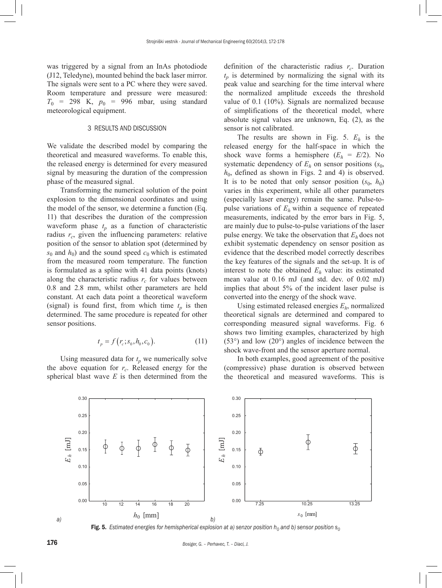was triggered by a signal from an InAs photodiode (J12, Teledyne), mounted behind the back laser mirror. The signals were sent to a PC where they were saved. Room temperature and pressure were measured:  $T_0$  = 298 K,  $p_0$  = 996 mbar, using standard meteorological equipment.

# 3 RESULTS AND DISCUSSION

We validate the described model by comparing the theoretical and measured waveforms. To enable this, the released energy is determined for every measured signal by measuring the duration of the compression phase of the measured signal.

Transforming the numerical solution of the point explosion to the dimensional coordinates and using the model of the sensor, we determine a function (Eq. 11) that describes the duration of the compression waveform phase  $t_p$  as a function of characteristic radius r<sub>c</sub>, given the influencing parameters: relative position of the sensor to ablation spot (determined by  $s_0$  and  $h_0$ ) and the sound speed  $c_0$  which is estimated from the measured room temperature. The function is formulated as a spline with 41 data points (knots) along the characteristic radius  $r_c$  for values between 0.8 and 2.8 mm, whilst other parameters are held constant. At each data point a theoretical waveform (signal) is found first, from which time  $t_n$  is then determined. The same procedure is repeated for other sensor positions.

$$
t_p = f(r_c; s_0, h_0, c_0).
$$
 (11)

Using measured data for  $t_p$  we numerically solve the above equation for  $r_c$ . Released energy for the spherical blast wave *E* is then determined from the definition of the characteristic radius  $r_c$ . Duration  $t_p$  is determined by normalizing the signal with its peak value and searching for the time interval where the normalized amplitude exceeds the threshold value of 0.1 (10%). Signals are normalized because of simplifications of the theoretical model, where absolute signal values are unknown, Eq. (2), as the sensor is not calibrated.

The results are shown in Fig. 5. *Eh* is the released energy for the half-space in which the shock wave forms a hemisphere  $(E_h = E/2)$ . No systematic dependency of  $E_h$  on sensor positions ( $s_0$ ,  $h_0$ , defined as shown in Figs. 2 and 4) is observed. It is to be noted that only sensor position  $(s_0, h_0)$ varies in this experiment, while all other parameters (especially laser energy) remain the same. Pulse-topulse variations of  $E_h$  within a sequence of repeated measurements, indicated by the error bars in Fig. 5, are mainly due to pulse-to-pulse variations of the laser pulse energy. We take the observation that  $E_h$  does not exhibit systematic dependency on sensor position as evidence that the described model correctly describes the key features of the signals and the set-up. It is of interest to note the obtained  $E_h$  value: its estimated mean value at 0.16 mJ (and std. dev. of 0.02 mJ) implies that about 5% of the incident laser pulse is converted into the energy of the shock wave.

Using estimated released energies *Eh*, normalized theoretical signals are determined and compared to corresponding measured signal waveforms. Fig. 6 shows two limiting examples, characterized by high (53°) and low (20°) angles of incidence between the shock wave-front and the sensor aperture normal.

In both examples, good agreement of the positive (compressive) phase duration is observed between the theoretical and measured waveforms. This is



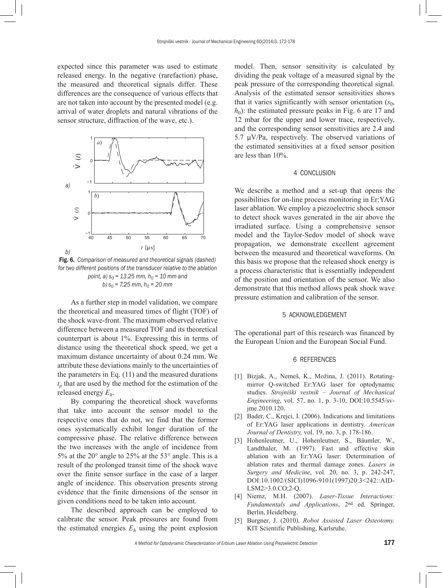expected since this parameter was used to estimate released energy. In the negative (rarefaction) phase, the measured and theoretical signals differ. These differences are the consequence of various effects that are not taken into account by the presented model (e.g. arrival of water droplets and natural vibrations of the sensor structure, diffraction of the wave, etc.).



Fig. 6. *Comparison of measured and theoretical signals (dashed) for two different positions of the transducer relative to the ablation point, a)*  $s_0 = 13.25$  *mm, h<sub>0</sub> = 10 mm and b)*  $s_0$  = 7.25 mm,  $h_0$  = 20 mm

As a further step in model validation, we compare the theoretical and measured times of flight (TOF) of the shock wave-front. The maximum observed relative difference between a measured TOF and its theoretical counterpart is about 1%. Expressing this in terms of distance using the theoretical shock speed, we get a maximum distance uncertainty of about 0.24 mm. We attribute these deviations mainly to the uncertainties of the parameters in Eq. (11) and the measured durations  $t_p$  that are used by the method for the estimation of the released energy *Eh*.

By comparing the theoretical shock waveforms that take into account the sensor model to the respective ones that do not, we find that the former ones systematically exhibit longer duration of the compressive phase. The relative difference between the two increases with the angle of incidence from 5% at the 20° angle to 25% at the 53° angle. This is a result of the prolonged transit time of the shock wave over the finite sensor surface in the case of a larger angle of incidence. This observation presents strong evidence that the finite dimensions of the sensor in given conditions need to be taken into account.

The described approach can be employed to calibrate the sensor. Peak pressures are found from the estimated energies  $E_h$  using the point explosion model. Then, sensor sensitivity is calculated by dividing the peak voltage of a measured signal by the peak pressure of the corresponding theoretical signal. Analysis of the estimated sensor sensitivities shows that it varies significantly with sensor orientation (*s*0,  $h_0$ ): the estimated pressure peaks in Fig. 6 are 17 and 12 mbar for the upper and lower trace, respectively, and the corresponding sensor sensitivities are 2.4 and 5.7 μV/Pa, respectively. The observed variations of the estimated sensitivities at a fixed sensor position are less than 10%.

## 4 CONCLUSION

We describe a method and a set-up that opens the possibilities for on-line process monitoring in Er:YAG laser ablation. We employ a piezoelectric shock sensor to detect shock waves generated in the air above the irradiated surface. Using a comprehensive sensor model and the Taylor-Sedov model of shock wave propagation, we demonstrate excellent agreement between the measured and theoretical waveforms. On this basis we propose that the released shock energy is a process characteristic that is essentially independent of the position and orientation of the sensor. We also demonstrate that this method allows peak shock wave pressure estimation and calibration of the sensor.

#### 5 ACKNOWLEDGEMENT

The operational part of this research was financed by the European Union and the European Social Fund.

#### 6 REFERENCES

- [1] Bizjak, A., Nemeš, K., Možina, J. (2011). Rotatingmirror Q-switched Er:YAG laser for optodynamic studies. *Strojniški vestnik – Journal of Mechanical Engineering*, vol. 57, no. 1, p. 3-10, [DOI:10.5545/sv](http://dx.doi.org/10.5545/sv-jme.2010.120)[jme.2010.120.](http://dx.doi.org/10.5545/sv-jme.2010.120)
- [2] Bader, C., Krejci, I. (2006). Indications and limitations of Er:YAG laser applications in dentistry. *American Journal of Dentistry,* vol. 19, no. 3, p. 178-186.
- [3] Hohenleutner, U., Hohenleutner, S., Bäumler, W., Landthaler, M. (1997). Fast and effective skin ablation with an Er:YAG laser: Determination of ablation rates and thermal damage zones. *Lasers in Surgery and Medicine*, vol. 20, no. 3, p. 242-247, [DOI:10.1002/\(SICI\)1096-9101\(1997\)20:3<242::AID-](http://dx.doi.org/10.1002/(SICI)1096-9101(1997)20:3<242::AID-LSM2>3.0.CO;2-Q)[LSM2>3.0.CO;2-Q.](http://dx.doi.org/10.1002/(SICI)1096-9101(1997)20:3<242::AID-LSM2>3.0.CO;2-Q)
- [4] Niemz, M.H. (2007). *Laser-Tissue Interactions: Fundamentals and Applications*, 2nd ed. Springer, Berlin, Heidelberg.
- [5] Burgner, J. (2010). *Robot Assisted Laser Osteotomy.*  KIT Scientific Publishing, Karlsruhe.